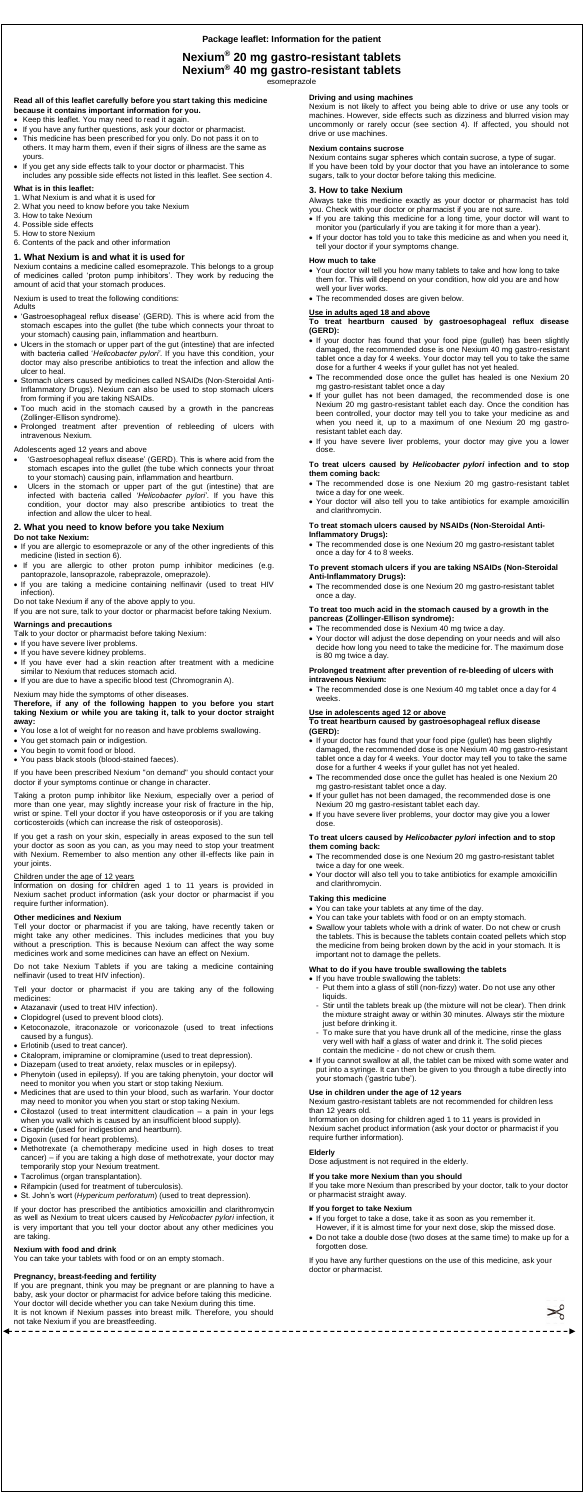# **Nexium® 20 mg gastro-resistant tablets Nexium® 40 mg gastro-resistant tablets**

esomeprazole

### **Read all of this leaflet carefully before you start taking this medicine because it contains important information for you.**

- Keep this leaflet. You may need to read it again.
- If you have any further questions, ask your doctor or pharmacist.
- This medicine has been prescribed for you only. Do not pass it on to others. It may harm them, even if their signs of illness are the same as yours.
- If you get any side effects talk to your doctor or pharmacist. This includes any possible side effects not listed in this leaflet. See section 4.

#### **What is in this leaflet:**

- 1. What Nexium is and what it is used for
- 2. What you need to know before you take Nexium
- 3. How to take Nexium
- 4. Possible side effects
- 5. How to store Nexium
- 6. Contents of the pack and other information

#### **1. What Nexium is and what it is used for**

Nexium contains a medicine called esomeprazole. This belongs to a group of medicines called 'proton pump inhibitors'. They work by reducing the amount of acid that your stomach produces.

Nexium is used to treat the following conditions:

#### Adults

- 'Gastroesophageal reflux disease' (GERD). This is where acid from the stomach escapes into the gullet (the tube which connects your throat to your stomach) causing pain, inflammation and heartburn.
- Ulcers in the stomach or upper part of the gut (intestine) that are infected with bacteria called '*Helicobacter pylori'*. If you have this condition, your doctor may also prescribe antibiotics to treat the infection and allow the ulcer to heal.
- Stomach ulcers caused by medicines called NSAIDs (Non-Steroidal Anti-Inflammatory Drugs). Nexium can also be used to stop stomach ulcers from forming if you are taking NSAIDs.
- Too much acid in the stomach caused by a growth in the pancreas (Zollinger-Ellison syndrome).
- Prolonged treatment after prevention of rebleeding of ulcers with intravenous Nexium.

#### Adolescents aged 12 years and above

- 'Gastroesophageal reflux disease' (GERD). This is where acid from the stomach escapes into the gullet (the tube which connects your throat to your stomach) causing pain, inflammation and heartburn.
- Ulcers in the stomach or upper part of the gut (intestine) that are infected with bacteria called *'Helicobacter pylori'*. If you have this condition, your doctor may also prescribe antibiotics to treat the infection and allow the ulcer to heal.

# **2. What you need to know before you take Nexium**

#### **Do not take Nexium:**

- If you are allergic to esomeprazole or any of the other ingredients of this medicine (listed in section 6).
- If you are allergic to other proton pump inhibitor medicines (e.g. pantoprazole, lansoprazole, rabeprazole, omeprazole).
- If you are taking a medicine containing nelfinavir (used to treat HIV infection).
- Do not take Nexium if any of the above apply to you.

If you are not sure, talk to your doctor or pharmacist before taking Nexium.

# **Warnings and precautions**

- Talk to your doctor or pharmacist before taking Nexium:
- If you have severe liver problems.
- If you have severe kidney problems.
- If you have ever had a skin reaction after treatment with a medicine similar to Nexium that reduces stomach acid.
- If you are due to have a specific blood test (Chromogranin A).

# Nexium may hide the symptoms of other diseases.

#### **Therefore, if any of the following happen to you before you start taking Nexium or while you are taking it, talk to your doctor straight away:**

- You lose a lot of weight for no reason and have problems swallowing.
- You get stomach pain or indigestion.
- You begin to vomit food or blood.
- You pass black stools (blood-stained faeces).

If you have been prescribed Nexium "on demand" you should contact your doctor if your symptoms continue or change in character.

Taking a proton pump inhibitor like Nexium, especially over a period of more than one year, may slightly increase your risk of fracture in the hip, wrist or spine. Tell your doctor if you have osteoporosis or if you are taking corticosteroids (which can increase the risk of osteoporosis).

If you get a rash on your skin, especially in areas exposed to the sun tell your doctor as soon as you can, as you may need to stop your treatment with Nexium. Remember to also mention any other ill-effects like pain in your joints.

# Children under the age of 12 years

Information on dosing for children aged 1 to 11 years is provided in Nexium sachet product information (ask your doctor or pharmacist if you require further information).

#### **Other medicines and Nexium**

Tell your doctor or pharmacist if you are taking, have recently taken or might take any other medicines. This includes medicines that you buy without a prescription. This is because Nexium can affect the way some medicines work and some medicines can have an effect on Nexium.

Do not take Nexium Tablets if you are taking a medicine containing nelfinavir (used to treat HIV infection).

Tell your doctor or pharmacist if you are taking any of the following medicines:

- If your doctor has found that your food pipe (gullet) has been slightly damaged, the recommended dose is one Nexium 40 mg gastro-resistant tablet once a day for 4 weeks. Your doctor may tell you to take the same dose for a further 4 weeks if your gullet has not yet healed.
- The recommended dose once the gullet has healed is one Nexium 20 mg gastro-resistant tablet once a day.
- If your gullet has not been damaged, the recommended dose is one Nexium 20 mg gastro-resistant tablet each day.
- If you have severe liver problems, your doctor may give you a lower dose.

- Atazanavir (used to treat HIV infection).
- Clopidogrel (used to prevent blood clots).
- Ketoconazole, itraconazole or voriconazole (used to treat infections caused by a fungus).
- Erlotinib (used to treat cancer).
- Citalopram, imipramine or clomipramine (used to treat depression).
- Diazepam (used to treat anxiety, relax muscles or in epilepsy).
- Phenytoin (used in epilepsy). If you are taking phenytoin, your doctor will need to monitor you when you start or stop taking Nexium.
- Medicines that are used to thin your blood, such as warfarin. Your doctor may need to monitor you when you start or stop taking Nexium.
- Cilostazol (used to treat intermittent claudication a pain in your legs when you walk which is caused by an insufficient blood supply).
- Cisapride (used for indigestion and heartburn).
- Digoxin (used for heart problems).
- Methotrexate (a chemotherapy medicine used in high doses to treat cancer) – if you are taking a high dose of methotrexate, your doctor may temporarily stop your Nexium treatment.
- Tacrolimus (organ transplantation).
- Rifampicin (used for treatment of tuberculosis).
- St. John's wort (*Hypericum perforatum*) (used to treat depression).
- If you have trouble swallowing the tablets:
- Put them into a glass of still (non-fizzy) water. Do not use any other liquids.
- Stir until the tablets break up (the mixture will not be clear). Then drink the mixture straight away or within 30 minutes. Always stir the mixture just before drinking it.
- To make sure that you have drunk all of the medicine, rinse the glass very well with half a glass of water and drink it. The solid pieces contain the medicine - do not chew or crush them.
- If you cannot swallow at all, the tablet can be mixed with some water and put into a syringe. It can then be given to you through a tube directly into your stomach ('gastric tube').

- If you forget to take a dose, take it as soon as you remember it. However, if it is almost time for your next dose, skip the missed dose.
- Do not take a double dose (two doses at the same time) to make up for a forgotten dose.

If your doctor has prescribed the antibiotics amoxicillin and clarithromycin as well as Nexium to treat ulcers caused by *Helicobacter pylori* infection, it is very important that you tell your doctor about any other medicines you are taking.

#### **Nexium with food and drink**

You can take your tablets with food or on an empty stomach.

#### **Pregnancy, breast-feeding and fertility**

If you are pregnant, think you may be pregnant or are planning to have a baby, ask your doctor or pharmacist for advice before taking this medicine. Your doctor will decide whether you can take Nexium during this time. It is not known if Nexium passes into breast milk. Therefore, you should not take Nexium if you are breastfeeding.

#### **Driving and using machines**

Nexium is not likely to affect you being able to drive or use any tools or machines. However, side effects such as dizziness and blurred vision may uncommonly or rarely occur (see section 4). If affected, you should not drive or use machines.

#### **Nexium contains sucrose**

Nexium contains sugar spheres which contain sucrose, a type of sugar. If you have been told by your doctor that you have an intolerance to some sugars, talk to your doctor before taking this medicine.

# **3. How to take Nexium**

Always take this medicine exactly as your doctor or pharmacist has told you. Check with your doctor or pharmacist if you are not sure.

- If you are taking this medicine for a long time, your doctor will want to monitor you (particularly if you are taking it for more than a year).
- If your doctor has told you to take this medicine as and when you need it, tell your doctor if your symptoms change.

#### **How much to take**

- Your doctor will tell you how many tablets to take and how long to take them for. This will depend on your condition, how old you are and how well your liver works.
- The recommended doses are given below.

# **Use in adults aged 18 and above**

**To treat heartburn caused by gastroesophageal reflux disease (GERD):**

- If your doctor has found that your food pipe (gullet) has been slightly damaged, the recommended dose is one Nexium 40 mg gastro-resistant tablet once a day for 4 weeks. Your doctor may tell you to take the same dose for a further 4 weeks if your gullet has not yet healed.
- The recommended dose once the gullet has healed is one Nexium 20 mg gastro-resistant tablet once a day
- If your gullet has not been damaged, the recommended dose is one Nexium 20 mg gastro-resistant tablet each day. Once the condition has been controlled, your doctor may tell you to take your medicine as and when you need it, up to a maximum of one Nexium 20 mg gastroresistant tablet each day.
- If you have severe liver problems, your doctor may give you a lower dose.

#### **To treat ulcers caused by** *Helicobacter pylori* **infection and to stop them coming back:**

- The recommended dose is one Nexium 20 mg gastro-resistant tablet twice a day for one week.
- Your doctor will also tell you to take antibiotics for example amoxicillin and clarithromycin.

#### **To treat stomach ulcers caused by NSAIDs (Non-Steroidal Anti-Inflammatory Drugs):**

 The recommended dose is one Nexium 20 mg gastro-resistant tablet once a day for 4 to 8 weeks.

#### **To prevent stomach ulcers if you are taking NSAIDs (Non-Steroidal Anti-Inflammatory Drugs):**

 The recommended dose is one Nexium 20 mg gastro-resistant tablet once a day.

#### **To treat too much acid in the stomach caused by a growth in the pancreas (Zollinger-Ellison syndrome):**

- The recommended dose is Nexium 40 mg twice a day.
- Your doctor will adjust the dose depending on your needs and will also decide how long you need to take the medicine for. The maximum dose is 80 mg twice a day.

#### **Prolonged treatment after prevention of re-bleeding of ulcers with intravenous Nexium:**

 The recommended dose is one Nexium 40 mg tablet once a day for 4 weeks.

#### **Use in adolescents aged 12 or above**

#### **To treat heartburn caused by gastroesophageal reflux disease (GERD):**

#### **To treat ulcers caused by** *Helicobacter pylori* **infection and to stop them coming back:**

- The recommended dose is one Nexium 20 mg gastro-resistant tablet twice a day for one week.
- Your doctor will also tell you to take antibiotics for example amoxicillin

and clarithromycin.

#### **Taking this medicine**

- You can take your tablets at any time of the day.
- You can take your tablets with food or on an empty stomach.
- Swallow your tablets whole with a drink of water. Do not chew or crush the tablets. This is because the tablets contain coated pellets which stop the medicine from being broken down by the acid in your stomach. It is important not to damage the pellets.

# **What to do if you have trouble swallowing the tablets**

#### **Use in children under the age of 12 years**

Nexium gastro-resistant tablets are not recommended for children less than 12 years old.

Information on dosing for children aged 1 to 11 years is provided in Nexium sachet product information (ask your doctor or pharmacist if you require further information).

### **Elderly**

Dose adjustment is not required in the elderly.

# **If you take more Nexium than you should**

If you take more Nexium than prescribed by your doctor, talk to your doctor or pharmacist straight away.

#### **If you forget to take Nexium**

If you have any further questions on the use of this medicine, ask your doctor or pharmacist.